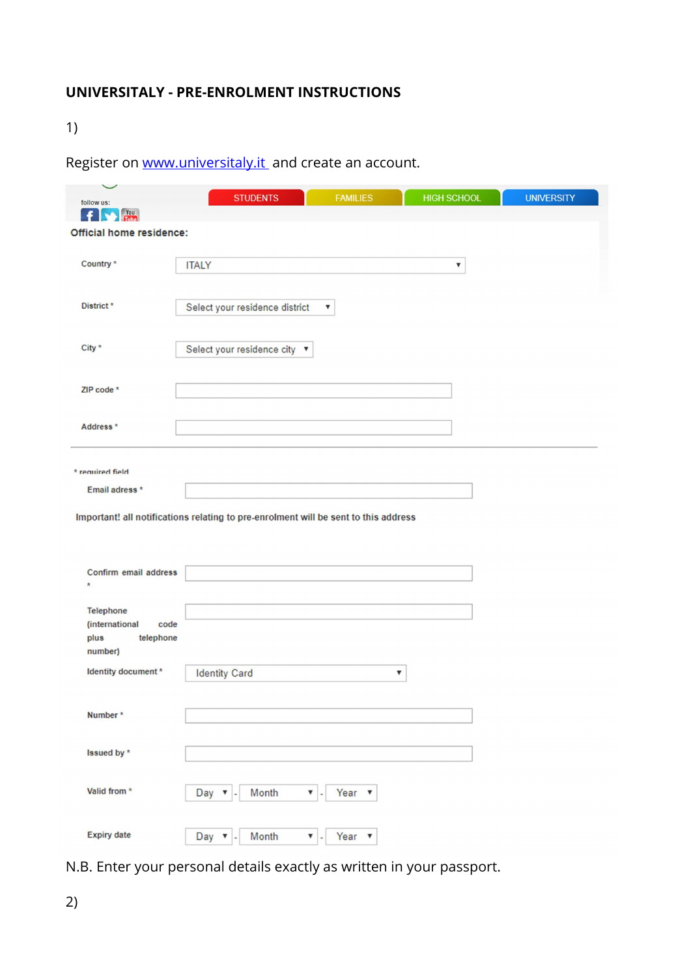# UNIVERSITALY - PRE-ENROLMENT INSTRUCTIONS

1)

|  | Register on www.universitaly.it and create an account. |
|--|--------------------------------------------------------|
|  |                                                        |

| follow us:                          | <b>STUDENTS</b>                                                                     | <b>FAMILIES</b> | <b>HIGH SCHOOL</b> | <b>UNIVERSITY</b> |
|-------------------------------------|-------------------------------------------------------------------------------------|-----------------|--------------------|-------------------|
| <b>No. You</b><br>×                 |                                                                                     |                 |                    |                   |
| Official home residence:            |                                                                                     |                 |                    |                   |
|                                     |                                                                                     |                 |                    |                   |
| Country <sup>*</sup>                | <b>ITALY</b>                                                                        |                 | ▼                  |                   |
|                                     |                                                                                     |                 |                    |                   |
| District <sup>*</sup>               | Select your residence district                                                      | ▼               |                    |                   |
|                                     |                                                                                     |                 |                    |                   |
|                                     |                                                                                     |                 |                    |                   |
| City *                              | Select your residence city ▼                                                        |                 |                    |                   |
|                                     |                                                                                     |                 |                    |                   |
| ZIP code *                          |                                                                                     |                 |                    |                   |
|                                     |                                                                                     |                 |                    |                   |
| Address *                           |                                                                                     |                 |                    |                   |
|                                     |                                                                                     |                 |                    |                   |
|                                     |                                                                                     |                 |                    |                   |
| * required field                    |                                                                                     |                 |                    |                   |
| Email adress *                      |                                                                                     |                 |                    |                   |
|                                     | Important! all notifications relating to pre-enrolment will be sent to this address |                 |                    |                   |
|                                     |                                                                                     |                 |                    |                   |
|                                     |                                                                                     |                 |                    |                   |
| Confirm email address               |                                                                                     |                 |                    |                   |
| $\star$                             |                                                                                     |                 |                    |                   |
|                                     |                                                                                     |                 |                    |                   |
| Telephone<br>(international<br>code |                                                                                     |                 |                    |                   |
| plus<br>telephone                   |                                                                                     |                 |                    |                   |
| number)                             |                                                                                     |                 |                    |                   |
| Identity document *                 | <b>Identity Card</b>                                                                | ▼               |                    |                   |
|                                     |                                                                                     |                 |                    |                   |
|                                     |                                                                                     |                 |                    |                   |
| Number*                             |                                                                                     |                 |                    |                   |
|                                     |                                                                                     |                 |                    |                   |
| Issued by *                         |                                                                                     |                 |                    |                   |
|                                     |                                                                                     |                 |                    |                   |
| Valid from *                        | Day $\blacktriangledown$<br>Month<br>$\mathbf{v}$ .<br>٠                            | Year $\sqrt{ }$ |                    |                   |
|                                     |                                                                                     |                 |                    |                   |
| <b>Expiry date</b>                  |                                                                                     |                 |                    |                   |
|                                     | Month<br>Day $\mathbf{v}$ .<br>$\mathbf{v}$ .                                       | Year $\sqrt{ }$ |                    |                   |

N.B. Enter your personal details exactly as written in your passport.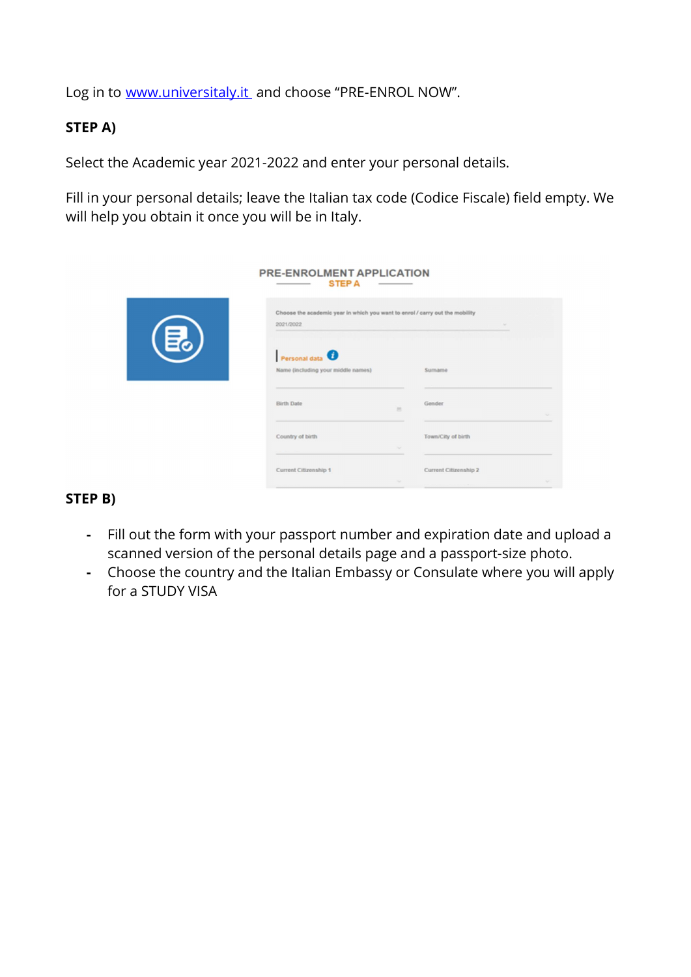Log in to www.universitaly.it and choose "PRE-ENROL NOW".

## STEP A)

Select the Academic year 2021-2022 and enter your personal details.

Fill in your personal details; leave the Italian tax code (Codice Fiscale) field empty. We will help you obtain it once you will be in Italy.

|    | PRE-ENROLMENT APPLICATION<br><b>STEP A</b><br>_____                                       | $\frac{1}{2} \left( \frac{1}{2} \right) \left( \frac{1}{2} \right) \left( \frac{1}{2} \right) \left( \frac{1}{2} \right) \left( \frac{1}{2} \right) \left( \frac{1}{2} \right) \left( \frac{1}{2} \right) \left( \frac{1}{2} \right) \left( \frac{1}{2} \right) \left( \frac{1}{2} \right) \left( \frac{1}{2} \right) \left( \frac{1}{2} \right) \left( \frac{1}{2} \right) \left( \frac{1}{2} \right) \left( \frac{1}{2} \right) \left( \frac{1}{2} \right) \left( \frac$ |                       |        |
|----|-------------------------------------------------------------------------------------------|----------------------------------------------------------------------------------------------------------------------------------------------------------------------------------------------------------------------------------------------------------------------------------------------------------------------------------------------------------------------------------------------------------------------------------------------------------------------------|-----------------------|--------|
| ほ。 | Choose the academic year in which you want to enrol / carry out the mobility<br>2021/2022 |                                                                                                                                                                                                                                                                                                                                                                                                                                                                            | $\sim$                |        |
|    | Personal data<br>Name (including your middle names)                                       |                                                                                                                                                                                                                                                                                                                                                                                                                                                                            | Surname               |        |
|    | <b>Birth Date</b>                                                                         | 旨                                                                                                                                                                                                                                                                                                                                                                                                                                                                          | Gender                |        |
|    | Country of birth                                                                          | <b>Sellen</b>                                                                                                                                                                                                                                                                                                                                                                                                                                                              | Town/City of birth    |        |
|    | Current Citizenship 1                                                                     | Date:                                                                                                                                                                                                                                                                                                                                                                                                                                                                      | Current Citizenship 2 | $\sim$ |

### STEP B)

- Fill out the form with your passport number and expiration date and upload a scanned version of the personal details page and a passport-size photo.
- Choose the country and the Italian Embassy or Consulate where you will apply for a STUDY VISA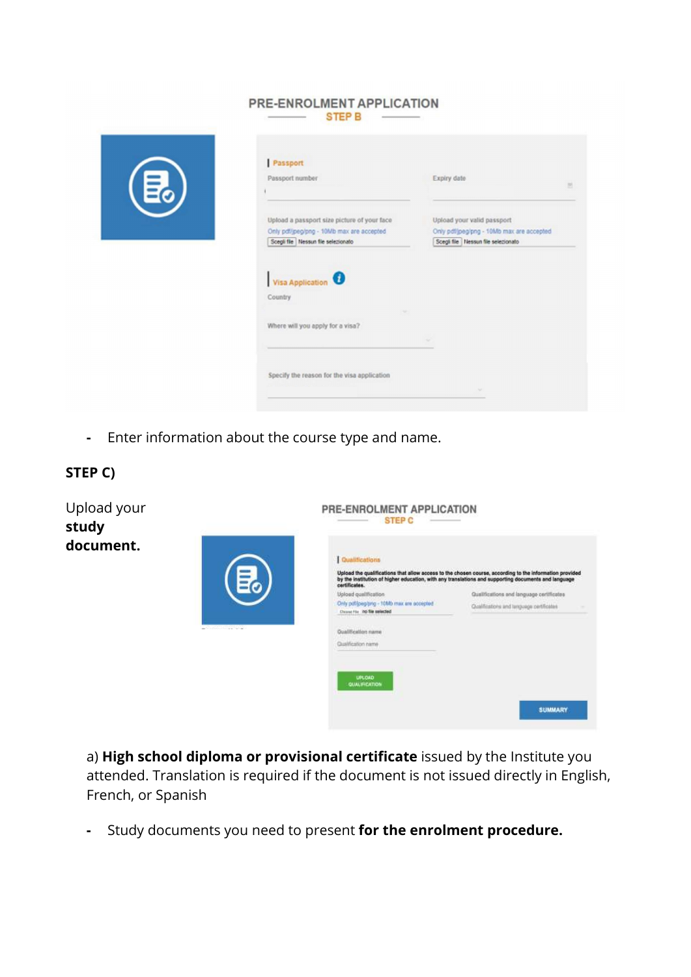#### PRE-ENROLMENT APPLICATION  $\overline{\phantom{a}}$  STEP B  $\phantom{a}$



| Passport number                                                                  | Expiry date                                                                        |
|----------------------------------------------------------------------------------|------------------------------------------------------------------------------------|
| Upload a passport size picture of your face                                      | Upload your valid passport                                                         |
| Only pdf/jpeg/png - 10Mb max are accepted<br>Scegli file Nessun file selezionato | Only pdf/jpeg/png - 10Mb max are accepted<br>Scegli file   Nessun file selezionato |
|                                                                                  |                                                                                    |
| Country                                                                          |                                                                                    |
| Where will you apply for a visa?                                                 |                                                                                    |
|                                                                                  | $\sim$                                                                             |

- Enter information about the course type and name.



a) High school diploma or provisional certificate issued by the Institute you attended. Translation is required if the document is not issued directly in English, French, or Spanish

- Study documents you need to present for the enrolment procedure.